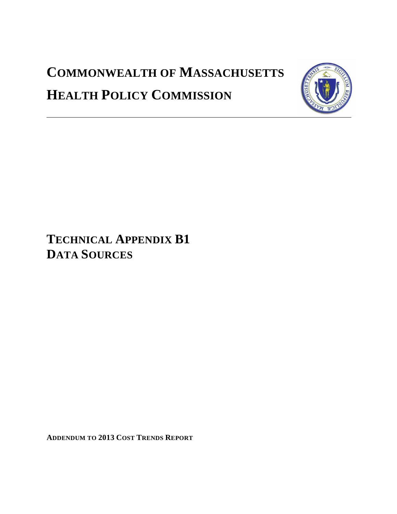# **COMMONWEALTH OF MASSACHUSETTS HEALTH POLICY COMMISSION**



**TECHNICAL APPENDIX B1 DATA SOURCES**

**ADDENDUM TO 2013 COST TRENDS REPORT**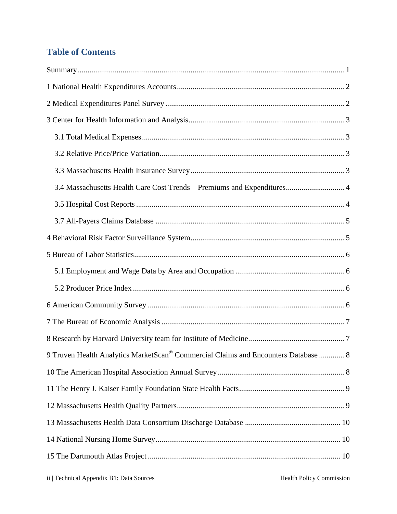# **Table of Contents**

| 3.4 Massachusetts Health Care Cost Trends - Premiums and Expenditures 4            |  |
|------------------------------------------------------------------------------------|--|
|                                                                                    |  |
|                                                                                    |  |
|                                                                                    |  |
|                                                                                    |  |
|                                                                                    |  |
|                                                                                    |  |
|                                                                                    |  |
|                                                                                    |  |
|                                                                                    |  |
| 9 Truven Health Analytics MarketScan® Commercial Claims and Encounters Database  8 |  |
|                                                                                    |  |
|                                                                                    |  |
|                                                                                    |  |
|                                                                                    |  |
|                                                                                    |  |
|                                                                                    |  |
|                                                                                    |  |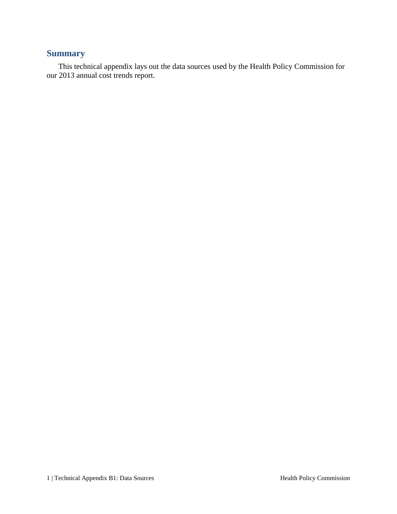## <span id="page-2-0"></span>**Summary**

This technical appendix lays out the data sources used by the Health Policy Commission for our 2013 annual cost trends report.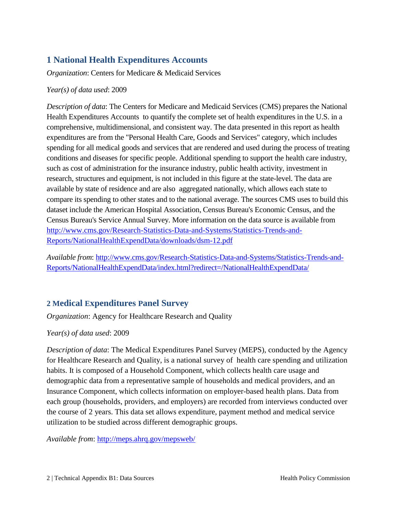# <span id="page-3-0"></span>**1 National Health Expenditures Accounts**

*Organization*: Centers for Medicare & Medicaid Services

#### *Year(s) of data used*: 2009

*Description of data*: The Centers for Medicare and Medicaid Services (CMS) prepares the National Health Expenditures Accounts to quantify the complete set of health expenditures in the U.S. in a comprehensive, multidimensional, and consistent way. The data presented in this report as health expenditures are from the "Personal Health Care, Goods and Services" category, which includes spending for all medical goods and services that are rendered and used during the process of treating conditions and diseases for specific people. Additional spending to support the health care industry, such as cost of administration for the insurance industry, public health activity, investment in research, structures and equipment, is not included in this figure at the state-level. The data are available by state of residence and are also aggregated nationally, which allows each state to compare its spending to other states and to the national average. The sources CMS uses to build this dataset include the American Hospital Association, Census Bureau's Economic Census, and the Census Bureau's Service Annual Survey. More information on the data source is available from [http://www.cms.gov/Research-Statistics-Data-and-Systems/Statistics-Trends-and-](http://www.cms.gov/Research-Statistics-Data-and-Systems/Statistics-Trends-and-Reports/NationalHealthExpendData/downloads/dsm-12.pdf)[Reports/NationalHealthExpendData/downloads/dsm-12.pdf](http://www.cms.gov/Research-Statistics-Data-and-Systems/Statistics-Trends-and-Reports/NationalHealthExpendData/downloads/dsm-12.pdf)

*Available from*: [http://www.cms.gov/Research-Statistics-Data-and-Systems/Statistics-Trends-and-](http://www.cms.gov/Research-Statistics-Data-and-Systems/Statistics-Trends-and-Reports/NationalHealthExpendData/index.html?redirect=/NationalHealthExpendData/)[Reports/NationalHealthExpendData/index.html?redirect=/NationalHealthExpendData/](http://www.cms.gov/Research-Statistics-Data-and-Systems/Statistics-Trends-and-Reports/NationalHealthExpendData/index.html?redirect=/NationalHealthExpendData/)

## <span id="page-3-1"></span>**2 Medical Expenditures Panel Survey**

*Organization*: Agency for Healthcare Research and Quality

### *Year(s) of data used*: 2009

*Description of data*: The Medical Expenditures Panel Survey (MEPS), conducted by the Agency for Healthcare Research and Quality, is a national survey of health care spending and utilization habits. It is composed of a Household Component, which collects health care usage and demographic data from a representative sample of households and medical providers, and an Insurance Component, which collects information on employer-based health plans. Data from each group (households, providers, and employers) are recorded from interviews conducted over the course of 2 years. This data set allows expenditure, payment method and medical service utilization to be studied across different demographic groups.

*Available from*:<http://meps.ahrq.gov/mepsweb/>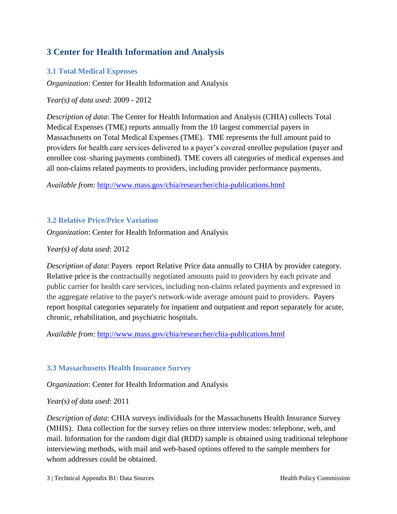## <span id="page-4-0"></span>**3 Center for Health Information and Analysis**

## <span id="page-4-1"></span>**3.1 Total Medical Expenses**

*Organization*: Center for Health Information and Analysis

*Year(s) of data used*: 2009 - 2012

*Description of data*: The Center for Health Information and Analysis (CHIA) collects Total Medical Expenses (TME) reports annually from the 10 largest commercial payers in Massachusetts on Total Medical Expenses (TME). TME represents the full amount paid to providers for health care services delivered to a payer's covered enrollee population (payer and enrollee cost–sharing payments combined). TME covers all categories of medical expenses and all non-claims related payments to providers, including provider performance payments.

*Available from*:<http://www.mass.gov/chia/researcher/chia-publications.html>

## <span id="page-4-2"></span>**3.2 Relative Price/Price Variation**

*Organization*: Center for Health Information and Analysis

*Year(s) of data used*: 2012

*Description of data*: Payers report Relative Price data annually to CHIA by provider category. Relative price is the contractually negotiated amounts paid to providers by each private and public carrier for health care services, including non-claims related payments and expressed in the aggregate relative to the payer's network-wide average amount paid to providers. Payers report hospital categories separately for inpatient and outpatient and report separately for acute, chronic, rehabilitation, and psychiatric hospitals.

*Available from*:<http://www.mass.gov/chia/researcher/chia-publications.html>

## <span id="page-4-3"></span>**3.3 Massachusetts Health Insurance Survey**

*Organization*: Center for Health Information and Analysis

*Year(s) of data used*: 2011

*Description of data*: CHIA surveys individuals for the Massachusetts Health Insurance Survey (MHIS). Data collection for the survey relies on three interview modes: telephone, web, and mail. Information for the random digit dial (RDD) sample is obtained using traditional telephone interviewing methods, with mail and web-based options offered to the sample members for whom addresses could be obtained.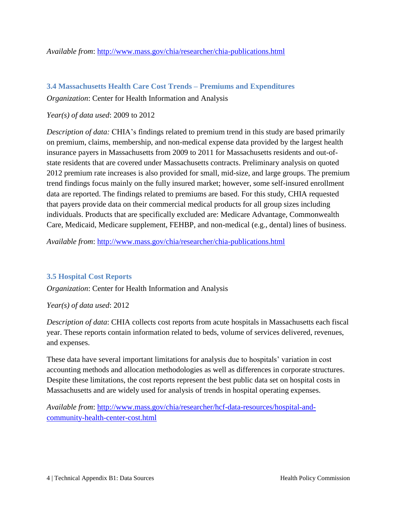#### *Available from*:<http://www.mass.gov/chia/researcher/chia-publications.html>

### <span id="page-5-0"></span>**3.4 Massachusetts Health Care Cost Trends – Premiums and Expenditures**

*Organization*: Center for Health Information and Analysis

#### *Year(s) of data used*: 2009 to 2012

*Description of data:* CHIA's findings related to premium trend in this study are based primarily on premium, claims, membership, and non-medical expense data provided by the largest health insurance payers in Massachusetts from 2009 to 2011 for Massachusetts residents and out-ofstate residents that are covered under Massachusetts contracts. Preliminary analysis on quoted 2012 premium rate increases is also provided for small, mid-size, and large groups. The premium trend findings focus mainly on the fully insured market; however, some self-insured enrollment data are reported. The findings related to premiums are based. For this study, CHIA requested that payers provide data on their commercial medical products for all group sizes including individuals. Products that are specifically excluded are: Medicare Advantage, Commonwealth Care, Medicaid, Medicare supplement, FEHBP, and non-medical (e.g., dental) lines of business.

*Available from*:<http://www.mass.gov/chia/researcher/chia-publications.html>

### <span id="page-5-1"></span>**3.5 Hospital Cost Reports**

*Organization*: Center for Health Information and Analysis

#### *Year(s) of data used*: 2012

*Description of data*: CHIA collects cost reports from acute hospitals in Massachusetts each fiscal year. These reports contain information related to beds, volume of services delivered, revenues, and expenses.

These data have several important limitations for analysis due to hospitals' variation in cost accounting methods and allocation methodologies as well as differences in corporate structures. Despite these limitations, the cost reports represent the best public data set on hospital costs in Massachusetts and are widely used for analysis of trends in hospital operating expenses.

*Available from*: [http://www.mass.gov/chia/researcher/hcf-data-resources/hospital-and](http://www.mass.gov/chia/researcher/hcf-data-resources/hospital-and-community-health-center-cost.html)[community-health-center-cost.html](http://www.mass.gov/chia/researcher/hcf-data-resources/hospital-and-community-health-center-cost.html)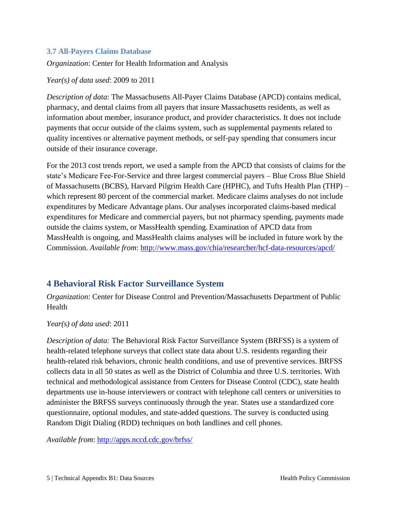## <span id="page-6-0"></span>**3.7 All-Payers Claims Database**

*Organization*: Center for Health Information and Analysis

*Year(s) of data used*: 2009 to 2011

*Description of data*: The Massachusetts All-Payer Claims Database (APCD) contains medical, pharmacy, and dental claims from all payers that insure Massachusetts residents, as well as information about member, insurance product, and provider characteristics. It does not include payments that occur outside of the claims system, such as supplemental payments related to quality incentives or alternative payment methods, or self-pay spending that consumers incur outside of their insurance coverage.

For the 2013 cost trends report, we used a sample from the APCD that consists of claims for the state's Medicare Fee-For-Service and three largest commercial payers – Blue Cross Blue Shield of Massachusetts (BCBS), Harvard Pilgrim Health Care (HPHC), and Tufts Health Plan (THP) – which represent 80 percent of the commercial market. Medicare claims analyses do not include expenditures by Medicare Advantage plans. Our analyses incorporated claims-based medical expenditures for Medicare and commercial payers, but not pharmacy spending, payments made outside the claims system, or MassHealth spending. Examination of APCD data from MassHealth is ongoing, and MassHealth claims analyses will be included in future work by the Commission. *Available from*:<http://www.mass.gov/chia/researcher/hcf-data-resources/apcd/>

## <span id="page-6-1"></span>**4 Behavioral Risk Factor Surveillance System**

*Organization*: Center for Disease Control and Prevention/Massachusetts Department of Public Health

*Year(s) of data used*: 2011

*Description of data:* The Behavioral Risk Factor Surveillance System (BRFSS) is a system of health-related telephone surveys that collect state data about U.S. residents regarding their health-related risk behaviors, chronic health conditions, and use of preventive services. BRFSS collects data in all 50 states as well as the District of Columbia and three U.S. territories. With technical and methodological assistance from Centers for Disease Control (CDC), state health departments use in-house interviewers or contract with telephone call centers or universities to administer the BRFSS surveys continuously through the year. States use a standardized core questionnaire, optional modules, and state-added questions. The survey is conducted using Random Digit Dialing (RDD) techniques on both landlines and cell phones.

*Available from*:<http://apps.nccd.cdc.gov/brfss/>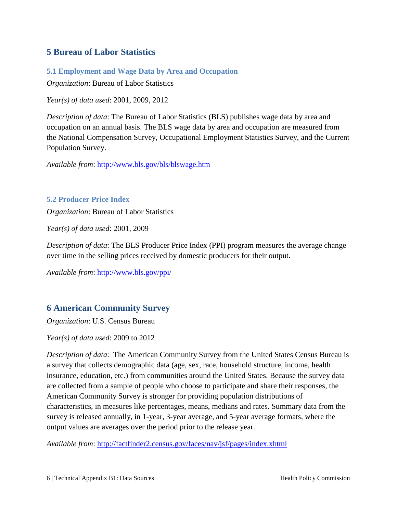## <span id="page-7-0"></span>**5 Bureau of Labor Statistics**

<span id="page-7-1"></span>**5.1 Employment and Wage Data by Area and Occupation**

*Organization*: Bureau of Labor Statistics

*Year(s) of data used*: 2001, 2009, 2012

*Description of data*: The Bureau of Labor Statistics (BLS) publishes wage data by area and occupation on an annual basis. The BLS wage data by area and occupation are measured from the National Compensation Survey, Occupational Employment Statistics Survey, and the Current Population Survey.

*Available from*:<http://www.bls.gov/bls/blswage.htm>

#### <span id="page-7-2"></span>**5.2 Producer Price Index**

*Organization*: Bureau of Labor Statistics

*Year(s) of data used*: 2001, 2009

*Description of data*: The BLS Producer Price Index (PPI) program measures the average change over time in the selling prices received by domestic producers for their output.

*Available from*:<http://www.bls.gov/ppi/>

## <span id="page-7-3"></span>**6 American Community Survey**

*Organization*: U.S. Census Bureau

*Year(s) of data used*: 2009 to 2012

*Description of data*: The American Community Survey from the United States Census Bureau is a survey that collects demographic data (age, sex, race, household structure, income, health insurance, education, etc.) from communities around the United States. Because the survey data are collected from a sample of people who choose to participate and share their responses, the American Community Survey is stronger for providing population distributions of characteristics, in measures like percentages, means, medians and rates. Summary data from the survey is released annually, in 1-year, 3-year average, and 5-year average formats, where the output values are averages over the period prior to the release year.

*Available from*:<http://factfinder2.census.gov/faces/nav/jsf/pages/index.xhtml>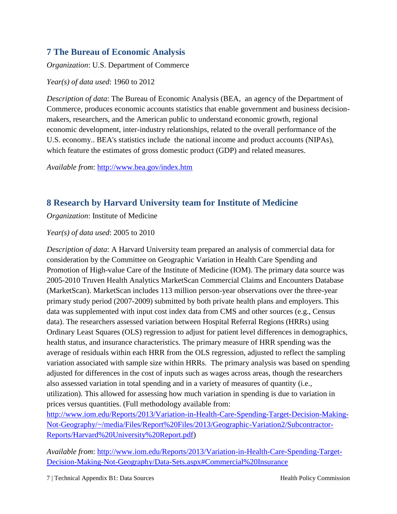## <span id="page-8-0"></span>**7 The Bureau of Economic Analysis**

*Organization*: U.S. Department of Commerce

*Year(s) of data used*: 1960 to 2012

*Description of data*: The Bureau of Economic Analysis (BEA, an agency of the Department of Commerce, produces economic accounts statistics that enable government and business decisionmakers, researchers, and the American public to understand economic growth, regional economic development, inter-industry relationships, related to the overall performance of the U.S. economy.. BEA's statistics include the national income and product accounts (NIPAs), which feature the estimates of gross domestic product (GDP) and related measures.

*Available from*:<http://www.bea.gov/index.htm>

# <span id="page-8-1"></span>**8 Research by Harvard University team for Institute of Medicine**

*Organization*: Institute of Medicine

*Year(s) of data used*: 2005 to 2010

*Description of data*: A Harvard University team prepared an analysis of commercial data for consideration by the Committee on Geographic Variation in Health Care Spending and Promotion of High-value Care of the Institute of Medicine (IOM). The primary data source was 2005-2010 Truven Health Analytics MarketScan Commercial Claims and Encounters Database (MarketScan). MarketScan includes 113 million person-year observations over the three-year primary study period (2007-2009) submitted by both private health plans and employers. This data was supplemented with input cost index data from CMS and other sources (e.g., Census data). The researchers assessed variation between Hospital Referral Regions (HRRs) using Ordinary Least Squares (OLS) regression to adjust for patient level differences in demographics, health status, and insurance characteristics. The primary measure of HRR spending was the average of residuals within each HRR from the OLS regression, adjusted to reflect the sampling variation associated with sample size within HRRs. The primary analysis was based on spending adjusted for differences in the cost of inputs such as wages across areas, though the researchers also assessed variation in total spending and in a variety of measures of quantity (i.e., utilization). This allowed for assessing how much variation in spending is due to variation in prices versus quantities. (Full methodology available from:

[http://www.iom.edu/Reports/2013/Variation-in-Health-Care-Spending-Target-Decision-Making-](http://www.iom.edu/Reports/2013/Variation-in-Health-Care-Spending-Target-Decision-Making-Not-Geography/~/media/Files/Report%20Files/2013/Geographic-Variation2/Subcontractor-Reports/Harvard%20University%20Report.pdf)[Not-Geography/~/media/Files/Report%20Files/2013/Geographic-Variation2/Subcontractor-](http://www.iom.edu/Reports/2013/Variation-in-Health-Care-Spending-Target-Decision-Making-Not-Geography/~/media/Files/Report%20Files/2013/Geographic-Variation2/Subcontractor-Reports/Harvard%20University%20Report.pdf)[Reports/Harvard%20University%20Report.pdf\)](http://www.iom.edu/Reports/2013/Variation-in-Health-Care-Spending-Target-Decision-Making-Not-Geography/~/media/Files/Report%20Files/2013/Geographic-Variation2/Subcontractor-Reports/Harvard%20University%20Report.pdf)

*Available from*: [http://www.iom.edu/Reports/2013/Variation-in-Health-Care-Spending-Target-](http://www.iom.edu/Reports/2013/Variation-in-Health-Care-Spending-Target-Decision-Making-Not-Geography/Data-Sets.aspx#Commercial%20Insurance)[Decision-Making-Not-Geography/Data-Sets.aspx#Commercial%20Insurance](http://www.iom.edu/Reports/2013/Variation-in-Health-Care-Spending-Target-Decision-Making-Not-Geography/Data-Sets.aspx#Commercial%20Insurance)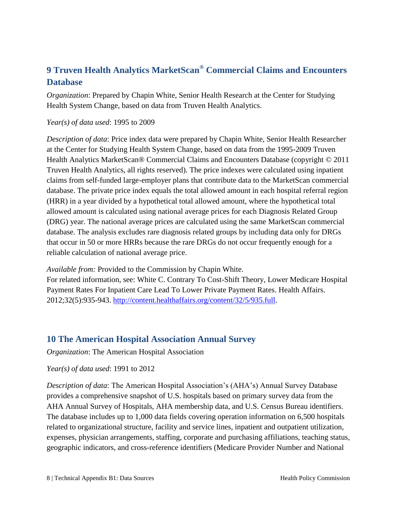# <span id="page-9-0"></span>**9 Truven Health Analytics MarketScan® Commercial Claims and Encounters Database**

*Organization*: Prepared by Chapin White, Senior Health Research at the Center for Studying Health System Change, based on data from Truven Health Analytics.

#### *Year(s) of data used*: 1995 to 2009

*Description of data*: Price index data were prepared by Chapin White, Senior Health Researcher at the Center for Studying Health System Change, based on data from the 1995-2009 Truven Health Analytics MarketScan® Commercial Claims and Encounters Database (copyright © 2011 Truven Health Analytics, all rights reserved). The price indexes were calculated using inpatient claims from self-funded large-employer plans that contribute data to the MarketScan commercial database. The private price index equals the total allowed amount in each hospital referral region (HRR) in a year divided by a hypothetical total allowed amount, where the hypothetical total allowed amount is calculated using national average prices for each Diagnosis Related Group (DRG) year. The national average prices are calculated using the same MarketScan commercial database. The analysis excludes rare diagnosis related groups by including data only for DRGs that occur in 50 or more HRRs because the rare DRGs do not occur frequently enough for a reliable calculation of national average price.

*Available from:* Provided to the Commission by Chapin White.

For related information, see: White C. Contrary To Cost-Shift Theory, Lower Medicare Hospital Payment Rates For Inpatient Care Lead To Lower Private Payment Rates. Health Affairs. 2012;32(5):935-943. [http://content.healthaffairs.org/content/32/5/935.full.](http://content.healthaffairs.org/content/32/5/935.full)

## <span id="page-9-1"></span>**10 The American Hospital Association Annual Survey**

*Organization*: The American Hospital Association

### *Year(s) of data used*: 1991 to 2012

*Description of data*: The American Hospital Association's (AHA's) Annual Survey Database provides a comprehensive snapshot of U.S. hospitals based on primary survey data from the AHA Annual Survey of Hospitals, AHA membership data, and U.S. Census Bureau identifiers. The database includes up to 1,000 data fields covering operation information on 6,500 hospitals related to organizational structure, facility and service lines, inpatient and outpatient utilization, expenses, physician arrangements, staffing, corporate and purchasing affiliations, teaching status, geographic indicators, and cross-reference identifiers (Medicare Provider Number and National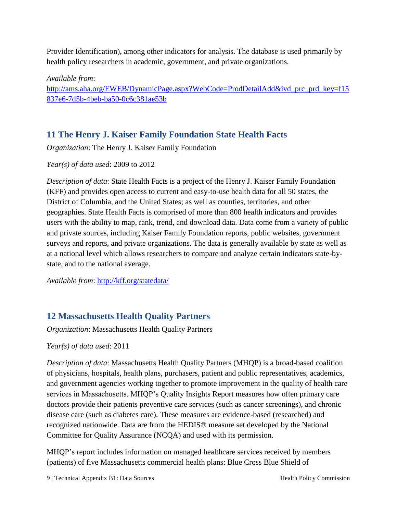Provider Identification), among other indicators for analysis. The database is used primarily by health policy researchers in academic, government, and private organizations.

*Available from*: [http://ams.aha.org/EWEB/DynamicPage.aspx?WebCode=ProdDetailAdd&ivd\\_prc\\_prd\\_key=f15](http://ams.aha.org/EWEB/DynamicPage.aspx?WebCode=ProdDetailAdd&ivd_prc_prd_key=f15837e6-7d5b-4beb-ba50-0c6c381ae53b) [837e6-7d5b-4beb-ba50-0c6c381ae53b](http://ams.aha.org/EWEB/DynamicPage.aspx?WebCode=ProdDetailAdd&ivd_prc_prd_key=f15837e6-7d5b-4beb-ba50-0c6c381ae53b)

# <span id="page-10-0"></span>**11 The Henry J. Kaiser Family Foundation State Health Facts**

*Organization*: The Henry J. Kaiser Family Foundation

*Year(s) of data used*: 2009 to 2012

*Description of data*: State Health Facts is a project of the Henry J. Kaiser Family Foundation (KFF) and provides open access to current and easy-to-use health data for all 50 states, the District of Columbia, and the United States; as well as counties, territories, and other geographies. State Health Facts is comprised of more than 800 health indicators and provides users with the ability to map, rank, trend, and download data. Data come from a variety of public and private sources, including Kaiser Family Foundation reports, public websites, government surveys and reports, and private organizations. The data is generally available by state as well as at a national level which allows researchers to compare and analyze certain indicators state-bystate, and to the national average.

*Available from*:<http://kff.org/statedata/>

## <span id="page-10-1"></span>**12 Massachusetts Health Quality Partners**

*Organization*: Massachusetts Health Quality Partners

## *Year(s) of data used*: 2011

*Description of data*: Massachusetts Health Quality Partners (MHQP) is a broad-based coalition of physicians, hospitals, health plans, purchasers, patient and public representatives, academics, and government agencies working together to promote improvement in the quality of health care services in Massachusetts. MHQP's Quality Insights Report measures how often primary care doctors provide their patients preventive care services (such as cancer screenings), and chronic disease care (such as diabetes care). These measures are evidence-based (researched) and recognized nationwide. Data are from the HEDIS® measure set developed by the National Committee for Quality Assurance (NCQA) and used with its permission.

MHQP's report includes information on managed healthcare services received by members (patients) of five Massachusetts commercial health plans: Blue Cross Blue Shield of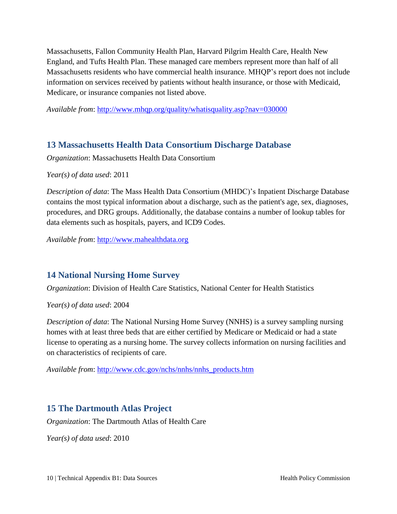Massachusetts, Fallon Community Health Plan, Harvard Pilgrim Health Care, Health New England, and Tufts Health Plan. These managed care members represent more than half of all Massachusetts residents who have commercial health insurance. MHQP's report does not include information on services received by patients without health insurance, or those with Medicaid, Medicare, or insurance companies not listed above.

*Available from*:<http://www.mhqp.org/quality/whatisquality.asp?nav=030000>

## <span id="page-11-0"></span>**13 Massachusetts Health Data Consortium Discharge Database**

*Organization*: Massachusetts Health Data Consortium

*Year(s) of data used*: 2011

*Description of data*: The Mass Health Data Consortium (MHDC)'s Inpatient Discharge Database contains the most typical information about a discharge, such as the patient's age, sex, diagnoses, procedures, and DRG groups. Additionally, the database contains a number of lookup tables for data elements such as hospitals, payers, and ICD9 Codes.

*Available from*: [http://www.mahealthdata.org](http://www.mahealthdata.org/)

## <span id="page-11-1"></span>**14 National Nursing Home Survey**

*Organization*: Division of Health Care Statistics, National Center for Health Statistics

*Year(s) of data used*: 2004

*Description of data*: The National Nursing Home Survey (NNHS) is a survey sampling nursing homes with at least three beds that are either certified by Medicare or Medicaid or had a state license to operating as a nursing home. The survey collects information on nursing facilities and on characteristics of recipients of care.

*Available from*: [http://www.cdc.gov/nchs/nnhs/nnhs\\_products.htm](http://www.cdc.gov/nchs/nnhs/nnhs_products.htm)

## <span id="page-11-2"></span>**15 The Dartmouth Atlas Project**

*Organization*: The Dartmouth Atlas of Health Care

*Year(s) of data used*: 2010